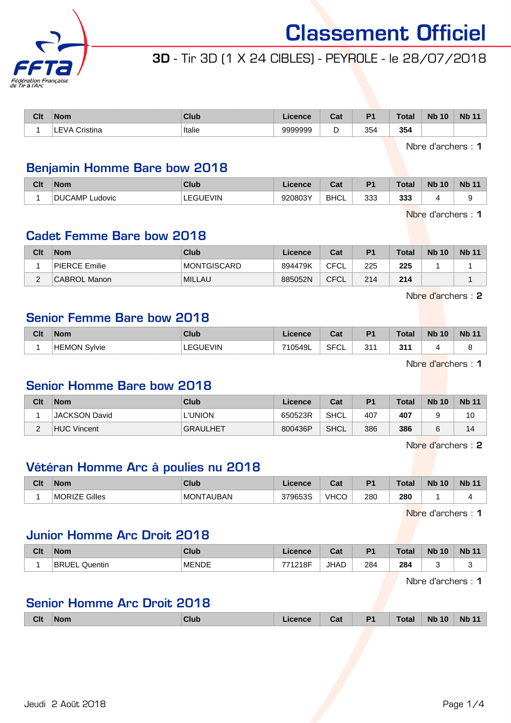

# 3D - Tir 3D (1 X 24 CIBLES) - PEYROLE - le 28/07/2018

| Clt | <b>Nom</b>              | Club   | Licence | $R_{\rm off}$<br>ual | D4  | <b>Total</b> | <b>N<sub>b</sub></b><br>10 | <b>Nb</b><br>$\begin{array}{c} \n \stackrel{\frown}{\mathcal{A}} \n \stackrel{\frown}{\mathcal{A}} \n \end{array}$ |
|-----|-------------------------|--------|---------|----------------------|-----|--------------|----------------------------|--------------------------------------------------------------------------------------------------------------------|
|     | Cristina<br>"VA :<br>-- | Italie | 9999999 | ◡                    | 354 | 354          |                            |                                                                                                                    |

Nbre d'archers : 1

## Benjamin Homme Bare bow 2018

| Clt | <b>Nom</b>               | Club               | <b>Licence</b> | $R_{\rm{min}}$<br>⊍م | D <sub>1</sub> | <b>Total</b> | <b>Nb 10</b> | <b>Nb 11</b> |
|-----|--------------------------|--------------------|----------------|----------------------|----------------|--------------|--------------|--------------|
|     | DI ICA<br>しAMP<br>udovic | <b>EQUE</b><br>√IN | 920803Y        | <b>BHCL</b>          | 333            | 333          |              |              |

Nbre d'archers : 1

## Cadet Femme Bare bow 2018

| Clt                | <b>Nom</b>    | Club          | Licence | Cat         | P <sub>1</sub> | Total | <b>Nb 10</b> | <b>Nb 11</b> |
|--------------------|---------------|---------------|---------|-------------|----------------|-------|--------------|--------------|
|                    | PIERCE Emilie | MONTGISCARD   | 894479K | CFCL        | 225            | 225   |              |              |
| $\sim$<br><u>_</u> | CABROL Manon  | <b>MILLAU</b> | 885052N | <b>CFCL</b> | 214            | 214   |              |              |

Nbre d'archers : 2

## Senior Femme Bare bow 2018

| Clt | <b>Nom</b>             | Club                 | Licence | ่∩ื่∽+<br>⊍d      | P <sub>1</sub> | <b>Total</b>                | <b>Nb 10</b> | <b>Nb 11</b> |
|-----|------------------------|----------------------|---------|-------------------|----------------|-----------------------------|--------------|--------------|
|     | Svlvie<br><b>HEMON</b> | <b>GUEVIN</b><br>___ | 710549L | <b>SFCI</b><br>◡∟ | 211<br>υı      | 244<br>JII<br>$\sim$ $\sim$ |              |              |

Nbre d'archers : 1

### Senior Homme Bare bow 2018

| Clt         | <b>Nom</b>           | Club            | Licence | Cat         | P <sub>1</sub> | <b>Total</b> | <b>Nb 10</b> | <b>Nb 11</b> |
|-------------|----------------------|-----------------|---------|-------------|----------------|--------------|--------------|--------------|
|             | <b>JACKSON David</b> | <b>L'UNION</b>  | 650523R | SHCL        | 407            | 407          |              | 10           |
| $\sim$<br>∠ | HUC Vincent          | <b>GRAULHET</b> | 800436P | <b>SHCL</b> | 386            | 386          |              | 14           |

Nbre d'archers : 2

# Vétéran Homme Arc à poulies nu 2018

| Clt | <b>Nom</b>              | <b>Club</b>      | <b>Licence</b> | ∩^∙<br><b>val</b> | D4  | Total     | <b>Nb</b><br>10 | <b>Nb 11</b> |
|-----|-------------------------|------------------|----------------|-------------------|-----|-----------|-----------------|--------------|
|     | Gilles<br><b>MORIZE</b> | <b>MONTAUBAN</b> | 379653S        | VHCO              | 280 | 280<br>__ |                 |              |

Nbre d'archers : 1

## Junior Homme Arc Droit 2018

| Clt | <b>Nom</b>                                         | <b>Club</b>  | Licence      | ◠∼<br>ual   | D <sub>1</sub> | <b>Total</b>  | <b>Nb</b><br>10 | <b>Nb 11</b> |
|-----|----------------------------------------------------|--------------|--------------|-------------|----------------|---------------|-----------------|--------------|
|     | <b>BRI</b><br>UF<br>Quentin<br>$\sim$ - - - $\sim$ | <b>MENDE</b> | 1218F<br>フフィ | <b>JHAD</b> | 284<br>$\sim$  | 284<br>$\sim$ |                 | v            |

Nbre d'archers : 1

# Senior Homme Arc Droit 2018

| Clt | <b>Nom</b> | Club | Licence | Cat | <b>P1</b> | <b>Total</b> | <b>Nb 10</b> | <b>Nb 11</b> |
|-----|------------|------|---------|-----|-----------|--------------|--------------|--------------|
|     |            |      |         |     |           |              |              |              |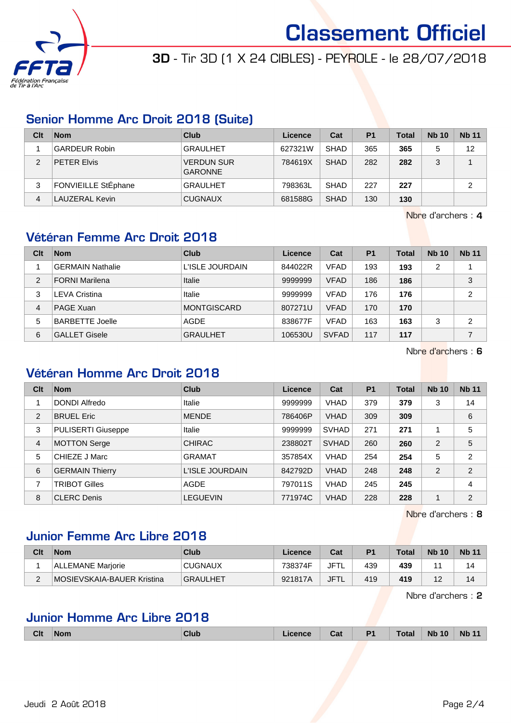

# 3D - Tir 3D (1 X 24 CIBLES) - PEYROLE - le 28/07/2018

## Senior Homme Arc Droit 2018 (Suite)

| Clt | <b>Nom</b>                 | Club                                | Licence | Cat         | P <sub>1</sub> | <b>Total</b> | <b>Nb 10</b> | <b>Nb 11</b> |
|-----|----------------------------|-------------------------------------|---------|-------------|----------------|--------------|--------------|--------------|
|     | <b>GARDEUR Robin</b>       | <b>GRAULHET</b>                     | 627321W | <b>SHAD</b> | 365            | 365          | 5            | 12           |
| 2   | <b>PETER Elvis</b>         | <b>VERDUN SUR</b><br><b>GARONNE</b> | 784619X | <b>SHAD</b> | 282            | 282          | 3            |              |
| 3   | <b>FONVIEILLE StEphane</b> | <b>GRAULHET</b>                     | 798363L | <b>SHAD</b> | 227            | 227          |              | 2            |
| 4   | LAUZERAL Kevin             | <b>CUGNAUX</b>                      | 681588G | <b>SHAD</b> | 130            | 130          |              |              |

Nbre d'archers : 4

# Vétéran Femme Arc Droit 2018

| Clt | <b>Nom</b>              | Club            | Licence | Cat          | P <sub>1</sub> | <b>Total</b> | <b>Nb 10</b> | <b>Nb 11</b>   |
|-----|-------------------------|-----------------|---------|--------------|----------------|--------------|--------------|----------------|
|     | <b>GERMAIN Nathalie</b> | L'ISLE JOURDAIN | 844022R | <b>VFAD</b>  | 193            | 193          | 2            |                |
| 2   | <b>FORNI Marilena</b>   | Italie          | 9999999 | <b>VFAD</b>  | 186            | 186          |              | 3              |
| 3   | <b>LEVA Cristina</b>    | Italie          | 9999999 | <b>VFAD</b>  | 176            | 176          |              | 2              |
| 4   | PAGE Xuan               | MONTGISCARD     | 807271U | <b>VFAD</b>  | 170            | 170          |              |                |
| 5   | <b>BARBETTE Joelle</b>  | AGDE            | 838677F | <b>VFAD</b>  | 163            | 163          | 3            | $\overline{2}$ |
| 6   | <b>GALLET Gisele</b>    | <b>GRAULHET</b> | 106530U | <b>SVFAD</b> | 117            | 117          |              | 7              |

Nbre d'archers : 6

# Vétéran Homme Arc Droit 2018

| Clt            | <b>Nom</b>                | Club            | Licence | Cat          | <b>P1</b> | <b>Total</b> | <b>Nb 10</b>   | <b>Nb 11</b>   |
|----------------|---------------------------|-----------------|---------|--------------|-----------|--------------|----------------|----------------|
|                | DONDI Alfredo             | Italie          | 9999999 | <b>VHAD</b>  | 379       | 379          | 3              | 14             |
| $\overline{2}$ | <b>BRUEL Eric</b>         | <b>MENDE</b>    | 786406P | <b>VHAD</b>  | 309       | 309          |                | 6              |
| 3              | <b>PULISERTI Giuseppe</b> | Italie          | 9999999 | <b>SVHAD</b> | 271       | 271          |                | 5              |
| $\overline{4}$ | <b>MOTTON Serge</b>       | <b>CHIRAC</b>   | 238802T | <b>SVHAD</b> | 260       | 260          | $\overline{2}$ | 5              |
| 5              | CHIEZE J Marc             | <b>GRAMAT</b>   | 357854X | <b>VHAD</b>  | 254       | 254          | 5              | $\overline{2}$ |
| 6              | <b>GERMAIN Thierry</b>    | L'ISLE JOURDAIN | 842792D | <b>VHAD</b>  | 248       | 248          | $\overline{2}$ | 2              |
| 7              | <b>TRIBOT Gilles</b>      | AGDE            | 797011S | <b>VHAD</b>  | 245       | 245          |                | 4              |
| 8              | <b>CLERC Denis</b>        | <b>LEGUEVIN</b> | 771974C | <b>VHAD</b>  | 228       | 228          |                | $\overline{2}$ |

Nbre d'archers : 8

# Junior Femme Arc Libre 2018

| Clt    | <b>Nom</b>                 | Club            | Licence | Cat         | P <sub>1</sub> | <b>Total</b> | <b>Nb 10</b> | <b>Nb 11</b> |
|--------|----------------------------|-----------------|---------|-------------|----------------|--------------|--------------|--------------|
|        | ALLEMANE Marjorie          | <b>CUGNAUX</b>  | 738374F | JFTL        | 439            | 439          |              | 14           |
| $\sim$ | MOSIEVSKAIA-BAUER Kristina | <b>GRAULHET</b> | 921817A | <b>JFTL</b> | 419            | 419          |              | 14           |

Nbre d'archers : 2

# Junior Homme Arc Libre 2018

| <b>Clt</b> | <b>Nom</b> | Club | Licence | Cat | P <sub>1</sub> | <b>Total</b> | <b>Nb 10</b> | <b>Nb 11</b> |
|------------|------------|------|---------|-----|----------------|--------------|--------------|--------------|
|            |            |      |         |     |                |              |              |              |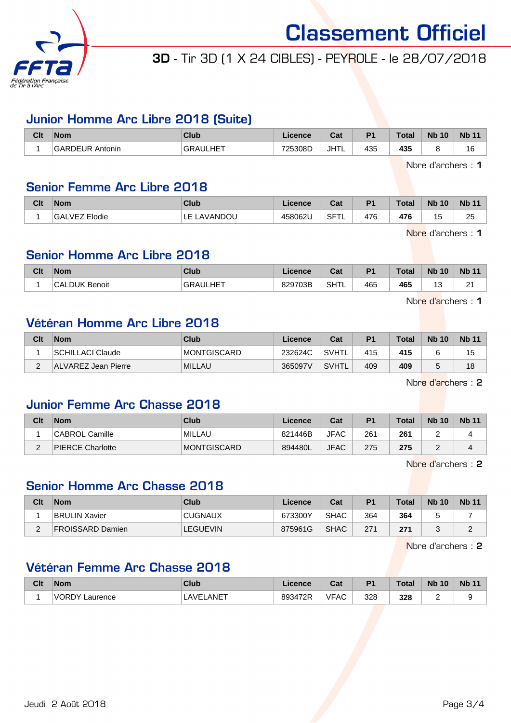

# 3D - Tir 3D (1 X 24 CIBLES) - PEYROLE - le 28/07/2018

## Junior Homme Arc Libre 2018 (Suite)

| Clt | <b>Nom</b>             | <b>Club</b>     | ∟icence | <b>Cost</b><br>uai | P <sub>1</sub> | <b>Total</b> | <b>N<sub>b</sub></b><br>10 | <b>N<sub>b</sub></b> |
|-----|------------------------|-----------------|---------|--------------------|----------------|--------------|----------------------------|----------------------|
|     | <b>GARDEUR Antonin</b> | <b>GRAULHET</b> | 725308D | <b>JHTL</b>        | 435            | 435          |                            | ıю                   |

Nbre d'archers : 1

### Senior Femme Arc Libre 2018

| Clt | <b>Nom</b>        | <b>Club</b>         | .icence | $\sim$<br>ual   | D <sub>1</sub> | <b>Total</b> | <b>Nb 10</b> | <b>Nb 11</b> |
|-----|-------------------|---------------------|---------|-----------------|----------------|--------------|--------------|--------------|
|     | 'GALVEZ<br>Elodie | LAVANDOU<br>-<br>ᄂᄂ | 458062U | SFT<br><b>1</b> | 476            | 476          | . r<br>U     | 25           |

Nbre d'archers : 1

## Senior Homme Arc Libre 2018

| Clt | <b>Nom</b>           | <b>Club</b>           | .icence | Cat  | D <sub>4</sub> | <b>Total</b> | <b>Nb 10</b>    | <b>Nb</b>   |
|-----|----------------------|-----------------------|---------|------|----------------|--------------|-----------------|-------------|
|     | <b>CALDUK Benoit</b> | <b>JULHET</b><br>GRAI | 829703B | SHTL | 465            | 465          | $\sqrt{2}$<br>ັ | $\sim$<br>- |

Nbre d'archers : 1

### Vétéran Homme Arc Libre 2018

| Clt | <b>Nom</b>          | Club          | Licence | Cat          | P <sub>1</sub> | <b>Total</b> | <b>Nb 10</b> | <b>Nb 11</b> |
|-----|---------------------|---------------|---------|--------------|----------------|--------------|--------------|--------------|
|     | SCHILLACI Claude    | MONTGISCARD   | 232624C | <b>SVHTL</b> | 415            | 415          |              | 15           |
| ⌒   | ALVAREZ Jean Pierre | <b>MILLAU</b> | 365097V | SVHTL        | 409            | 409          |              | 18           |

Nbre d'archers : 2

### Junior Femme Arc Chasse 2018

| Clt | Nom              | Club        | Licence | Cat         | P <sub>1</sub> | <b>Total</b> | <b>Nb 10</b> | <b>Nb 11</b> |
|-----|------------------|-------------|---------|-------------|----------------|--------------|--------------|--------------|
|     | CABROL Camille   | MILLAU      | 821446B | <b>JFAC</b> | 261            | 261          |              |              |
| _   | PIERCE Charlotte | MONTGISCARD | 894480L | <b>JFAC</b> | 275            | 275          |              |              |

Nbre d'archers : 2

## Senior Homme Arc Chasse 2018

| Clt | <b>Nom</b>           | Club            | Licence | Cat         | P <sub>1</sub> | Total | <b>Nb 10</b> | <b>Nb 11</b>       |
|-----|----------------------|-----------------|---------|-------------|----------------|-------|--------------|--------------------|
|     | <b>BRULIN Xavier</b> | <b>CUGNAUX</b>  | 673300Y | <b>SHAC</b> | 364            | 364   |              |                    |
| -   | FROISSARD Damien     | <b>LEGUEVIN</b> | 875961G | <b>SHAC</b> | 271            | 271   |              | $\sim$<br><u>.</u> |

Nbre d'archers : 2

## Vétéran Femme Arc Chasse 2018

| Clt | <b>Nom</b>                 | Club                               | Licence | ่กื้อ≰<br>uai | P <sub>1</sub> | <b>Total</b> | <b>Nb 10</b> | <b>Nb</b> |
|-----|----------------------------|------------------------------------|---------|---------------|----------------|--------------|--------------|-----------|
|     | <b>IVORDY'</b><br>Laurence | $\mathsf{ANET}$<br>$\triangle V$ F | 893472R | <b>VFAC</b>   | 328<br>. .     | 328<br>. .   |              |           |